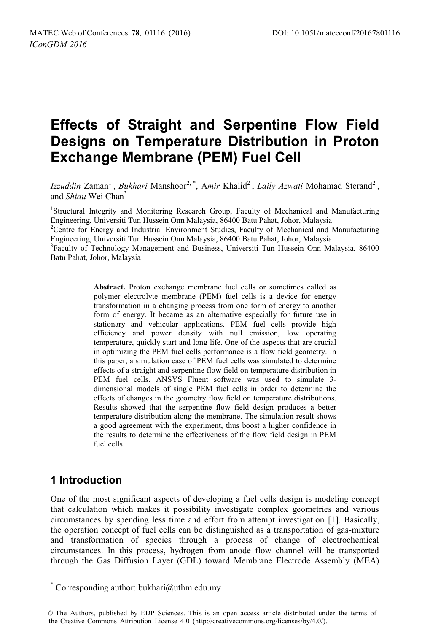# **Effects of Straight and Serpentine Flow Field Designs on Temperature Distribution in Proton Exchange Membrane (PEM) Fuel Cell**

*Izzuddin* Zaman<sup>1</sup>, *Bukhari* Manshoor<sup>2, \*</sup>, *Amir Khalid<sup>2</sup>*, *Laily Azwati* Mohamad Sterand<sup>2</sup>, and *Shiau* Wei Chan3

<sup>1</sup>Structural Integrity and Monitoring Research Group, Faculty of Mechanical and Manufacturing Engineering, Universiti Tun Hussein Onn Malaysia, 86400 Batu Pahat, Johor, Malaysia 2

<sup>2</sup> Centre for Energy and Industrial Environment Studies, Faculty of Mechanical and Manufacturing Engineering, Universiti Tun Hussein Onn Malaysia, 86400 Batu Pahat, Johor, Malaysia 3

<sup>3</sup>Faculty of Technology Management and Business, Universiti Tun Hussein Onn Malaysia, 86400 Batu Pahat, Johor, Malaysia

> **Abstract.** Proton exchange membrane fuel cells or sometimes called as polymer electrolyte membrane (PEM) fuel cells is a device for energy transformation in a changing process from one form of energy to another form of energy. It became as an alternative especially for future use in stationary and vehicular applications. PEM fuel cells provide high efficiency and power density with null emission, low operating temperature, quickly start and long life. One of the aspects that are crucial in optimizing the PEM fuel cells performance is a flow field geometry. In this paper, a simulation case of PEM fuel cells was simulated to determine effects of a straight and serpentine flow field on temperature distribution in PEM fuel cells. ANSYS Fluent software was used to simulate 3 dimensional models of single PEM fuel cells in order to determine the effects of changes in the geometry flow field on temperature distributions. Results showed that the serpentine flow field design produces a better temperature distribution along the membrane. The simulation result shows a good agreement with the experiment, thus boost a higher confidence in the results to determine the effectiveness of the flow field design in PEM fuel cells.

## **1 Introduction**

 $\overline{a}$ 

One of the most significant aspects of developing a fuel cells design is modeling concept that calculation which makes it possibility investigate complex geometries and various circumstances by spending less time and effort from attempt investigation [1]. Basically, the operation concept of fuel cells can be distinguished as a transportation of gas-mixture and transformation of species through a process of change of electrochemical circumstances. In this process, hydrogen from anode flow channel will be transported through the Gas Diffusion Layer (GDL) toward Membrane Electrode Assembly (MEA)

<sup>\*</sup> Corresponding author: bukhari@uthm.edu.my

<sup>©</sup> The Authors, published by EDP Sciences. This is an open access article distributed under the terms of the Creative Commons Attribution License 4.0 (http://creativecommons.org/licenses/by/4.0/).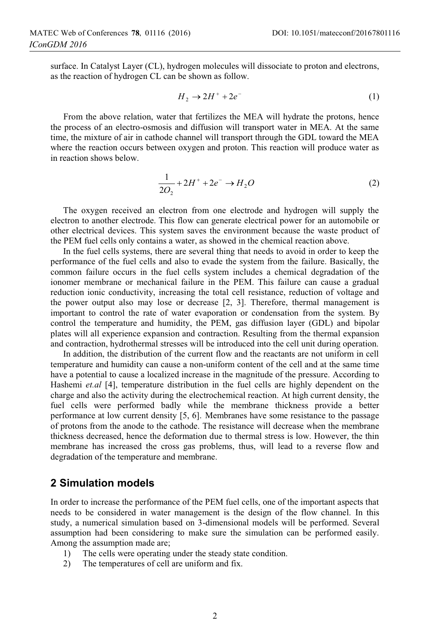surface. In Catalyst Layer (CL), hydrogen molecules will dissociate to proton and electrons, as the reaction of hydrogen CL can be shown as follow.

$$
H_2 \to 2H^+ + 2e^- \tag{1}
$$

From the above relation, water that fertilizes the MEA will hydrate the protons, hence the process of an electro-osmosis and diffusion will transport water in MEA. At the same time, the mixture of air in cathode channel will transport through the GDL toward the MEA where the reaction occurs between oxygen and proton. This reaction will produce water as in reaction shows below.

$$
\frac{1}{2O_2} + 2H^+ + 2e^- \to H_2O
$$
 (2)

The oxygen received an electron from one electrode and hydrogen will supply the electron to another electrode. This flow can generate electrical power for an automobile or other electrical devices. This system saves the environment because the waste product of the PEM fuel cells only contains a water, as showed in the chemical reaction above.

In the fuel cells systems, there are several thing that needs to avoid in order to keep the performance of the fuel cells and also to evade the system from the failure. Basically, the common failure occurs in the fuel cells system includes a chemical degradation of the ionomer membrane or mechanical failure in the PEM. This failure can cause a gradual reduction ionic conductivity, increasing the total cell resistance, reduction of voltage and the power output also may lose or decrease [2, 3]. Therefore, thermal management is important to control the rate of water evaporation or condensation from the system. By control the temperature and humidity, the PEM, gas diffusion layer (GDL) and bipolar plates will all experience expansion and contraction. Resulting from the thermal expansion and contraction, hydrothermal stresses will be introduced into the cell unit during operation.

In addition, the distribution of the current flow and the reactants are not uniform in cell temperature and humidity can cause a non-uniform content of the cell and at the same time have a potential to cause a localized increase in the magnitude of the pressure. According to Hashemi *et.al* [4], temperature distribution in the fuel cells are highly dependent on the charge and also the activity during the electrochemical reaction. At high current density, the fuel cells were performed badly while the membrane thickness provide a better performance at low current density [5, 6]. Membranes have some resistance to the passage of protons from the anode to the cathode. The resistance will decrease when the membrane thickness decreased, hence the deformation due to thermal stress is low. However, the thin membrane has increased the cross gas problems, thus, will lead to a reverse flow and degradation of the temperature and membrane.

#### **2 Simulation models**

In order to increase the performance of the PEM fuel cells, one of the important aspects that needs to be considered in water management is the design of the flow channel. In this study, a numerical simulation based on 3-dimensional models will be performed. Several assumption had been considering to make sure the simulation can be performed easily. Among the assumption made are;

- 1) The cells were operating under the steady state condition.
- 2) The temperatures of cell are uniform and fix.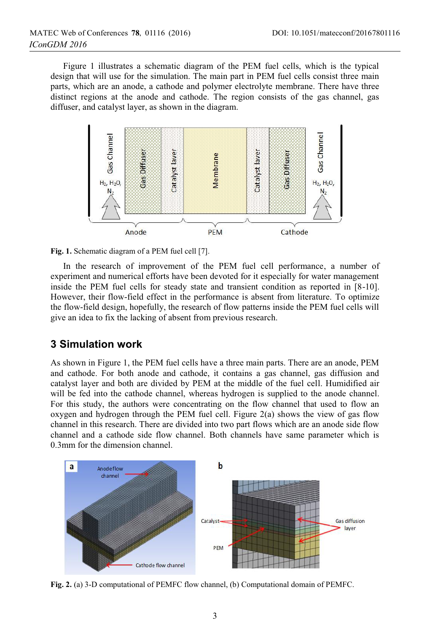Figure 1 illustrates a schematic diagram of the PEM fuel cells, which is the typical design that will use for the simulation. The main part in PEM fuel cells consist three main parts, which are an anode, a cathode and polymer electrolyte membrane. There have three distinct regions at the anode and cathode. The region consists of the gas channel, gas diffuser, and catalyst layer, as shown in the diagram.





In the research of improvement of the PEM fuel cell performance, a number of experiment and numerical efforts have been devoted for it especially for water management inside the PEM fuel cells for steady state and transient condition as reported in [8-10]. However, their flow-field effect in the performance is absent from literature. To optimize the flow-field design, hopefully, the research of flow patterns inside the PEM fuel cells will give an idea to fix the lacking of absent from previous research.

#### **3 Simulation work**

As shown in Figure 1, the PEM fuel cells have a three main parts. There are an anode, PEM and cathode. For both anode and cathode, it contains a gas channel, gas diffusion and catalyst layer and both are divided by PEM at the middle of the fuel cell. Humidified air will be fed into the cathode channel, whereas hydrogen is supplied to the anode channel. For this study, the authors were concentrating on the flow channel that used to flow an oxygen and hydrogen through the PEM fuel cell. Figure 2(a) shows the view of gas flow channel in this research. There are divided into two part flows which are an anode side flow channel and a cathode side flow channel. Both channels have same parameter which is 0.3mm for the dimension channel.



**Fig. 2.** (a) 3-D computational of PEMFC flow channel, (b) Computational domain of PEMFC.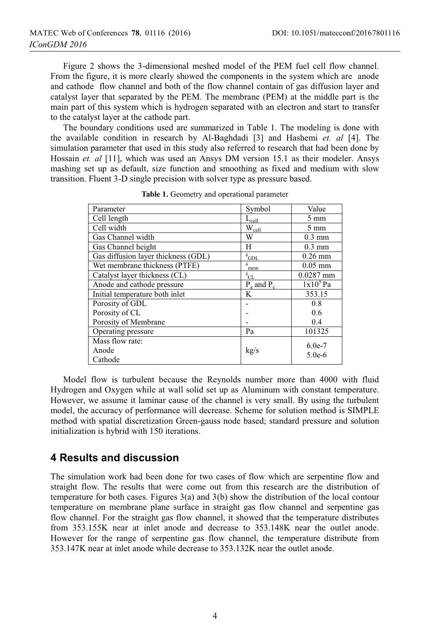Figure 2 shows the 3-dimensional meshed model of the PEM fuel cell flow channel. From the figure, it is more clearly showed the components in the system which are anode and cathode flow channel and both of the flow channel contain of gas diffusion layer and catalyst layer that separated by the PEM. The membrane (PEM) at the middle part is the main part of this system which is hydrogen separated with an electron and start to transfer to the catalyst layer at the cathode part.

The boundary conditions used are summarized in Table 1. The modeling is done with the available condition in research by Al-Baghdadi [3] and Hashemi *et. al* [4]. The simulation parameter that used in this study also referred to research that had been done by Hossain *et. al* [11], which was used an Ansys DM version 15.1 as their modeler. Ansys mashing set up as default, size function and smoothing as fixed and medium with slow transition. Fluent 3-D single precision with solver type as pressure based.

| Parameter                           | Symbol                           | Value            |
|-------------------------------------|----------------------------------|------------------|
| Cell length                         | $L_{cell}$                       | $5 \text{ mm}$   |
| Cell width                          | $W_{cell}$                       | $5 \text{ mm}$   |
| Gas Channel width                   | W                                | $0.3 \text{ mm}$ |
| Gas Channel height                  | H                                | $0.3$ mm         |
| Gas diffusion layer thickness (GDL) | $\delta_{\underline{GDL}}$       | $0.26$ mm        |
| Wet membrane thickness (PTFE)       | δ<br>mem                         | $0.05$ mm        |
| Catalyst layer thickness (CL)       | $\delta_{\underline{\text{CL}}}$ | $0.0287$ mm      |
| Anode and cathode pressure          | $P_a$ and $P_c$                  | $1x105$ Pa       |
| Initial temperature both inlet      | K                                | 353.15           |
| Porosity of GDL                     |                                  | 0.8              |
| Porosity of CL                      |                                  | 0.6              |
| Porosity of Membrane                |                                  | 0.4              |
| Operating pressure                  | Pa                               | 101325           |
| Mass flow rate:                     |                                  | $6.0e-7$         |
| Anode                               | kg/s                             | $5.0e-6$         |
| Cathode                             |                                  |                  |

**Table 1.** Geometry and operational parameter

Model flow is turbulent because the Reynolds number more than 4000 with fluid Hydrogen and Oxygen while at wall solid set up as Aluminum with constant temperature. However, we assume it laminar cause of the channel is very small. By using the turbulent model, the accuracy of performance will decrease. Scheme for solution method is SIMPLE method with spatial discretization Green-gauss node based; standard pressure and solution initialization is hybrid with 150 iterations.

#### **4 Results and discussion**

The simulation work had been done for two cases of flow which are serpentine flow and straight flow. The results that were come out from this research are the distribution of temperature for both cases. Figures  $3(a)$  and  $3(b)$  show the distribution of the local contour temperature on membrane plane surface in straight gas flow channel and serpentine gas flow channel. For the straight gas flow channel, it showed that the temperature distributes from 353.155K near at inlet anode and decrease to 353.148K near the outlet anode. However for the range of serpentine gas flow channel, the temperature distribute from 353.147K near at inlet anode while decrease to 353.132K near the outlet anode.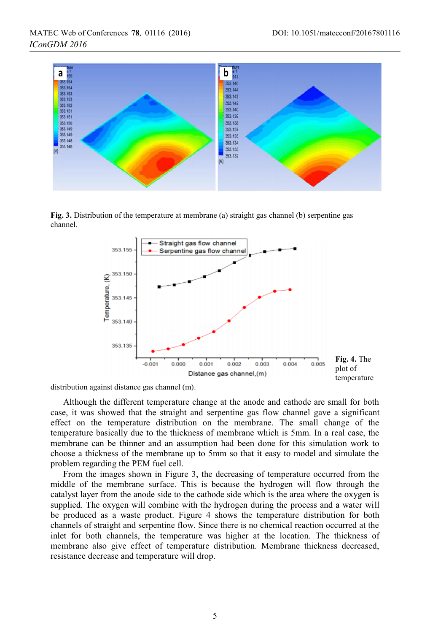

**Fig. 3.** Distribution of the temperature at membrane (a) straight gas channel (b) serpentine gas channel.



distribution against distance gas channel (m).

Although the different temperature change at the anode and cathode are small for both case, it was showed that the straight and serpentine gas flow channel gave a significant effect on the temperature distribution on the membrane. The small change of the temperature basically due to the thickness of membrane which is 5mm. In a real case, the membrane can be thinner and an assumption had been done for this simulation work to choose a thickness of the membrane up to 5mm so that it easy to model and simulate the problem regarding the PEM fuel cell.

From the images shown in Figure 3, the decreasing of temperature occurred from the middle of the membrane surface. This is because the hydrogen will flow through the catalyst layer from the anode side to the cathode side which is the area where the oxygen is supplied. The oxygen will combine with the hydrogen during the process and a water will be produced as a waste product. Figure 4 shows the temperature distribution for both channels of straight and serpentine flow. Since there is no chemical reaction occurred at the inlet for both channels, the temperature was higher at the location. The thickness of membrane also give effect of temperature distribution. Membrane thickness decreased, resistance decrease and temperature will drop.